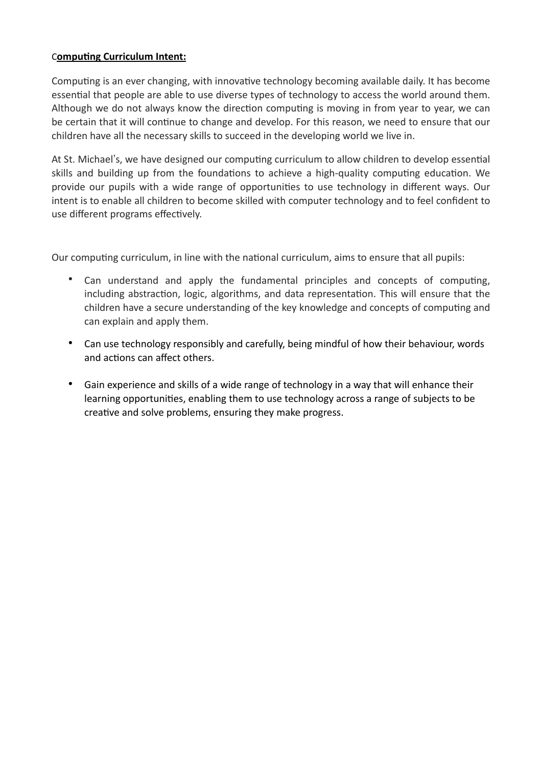### C**omputing Curriculum Intent:**

Computing is an ever changing, with innovative technology becoming available daily. It has become essential that people are able to use diverse types of technology to access the world around them. Although we do not always know the direction computing is moving in from year to year, we can be certain that it will continue to change and develop. For this reason, we need to ensure that our children have all the necessary skills to succeed in the developing world we live in.

At St. Michael's, we have designed our computing curriculum to allow children to develop essential skills and building up from the foundations to achieve a high-quality computing education. We provide our pupils with a wide range of opportunities to use technology in different ways. Our intent is to enable all children to become skilled with computer technology and to feel confident to use different programs effectively.

Our computing curriculum, in line with the national curriculum, aims to ensure that all pupils:

- Can understand and apply the fundamental principles and concepts of computing, including abstraction, logic, algorithms, and data representation. This will ensure that the children have a secure understanding of the key knowledge and concepts of computing and can explain and apply them.
- Can use technology responsibly and carefully, being mindful of how their behaviour, words and actions can affect others.
- Gain experience and skills of a wide range of technology in a way that will enhance their learning opportunities, enabling them to use technology across a range of subjects to be creative and solve problems, ensuring they make progress.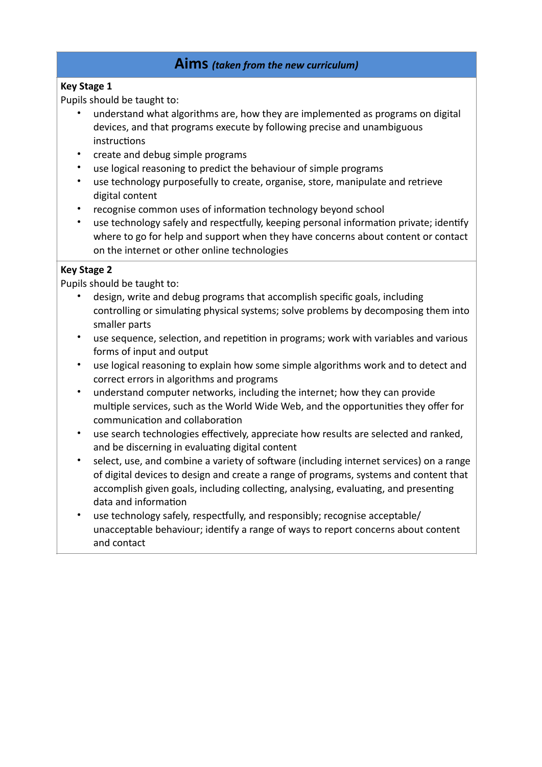# **Aims** *(taken from the new curriculum)*

## **Key Stage 1**

Pupils should be taught to:

- understand what algorithms are, how they are implemented as programs on digital devices, and that programs execute by following precise and unambiguous instructions
- create and debug simple programs
- use logical reasoning to predict the behaviour of simple programs
- use technology purposefully to create, organise, store, manipulate and retrieve digital content
- recognise common uses of information technology beyond school
- use technology safely and respectfully, keeping personal information private; identify where to go for help and support when they have concerns about content or contact on the internet or other online technologies

# **Key Stage 2**

Pupils should be taught to:

- design, write and debug programs that accomplish specific goals, including controlling or simulating physical systems; solve problems by decomposing them into smaller parts
- use sequence, selection, and repetition in programs; work with variables and various forms of input and output
- use logical reasoning to explain how some simple algorithms work and to detect and correct errors in algorithms and programs
- understand computer networks, including the internet; how they can provide multiple services, such as the World Wide Web, and the opportunities they offer for communication and collaboration
- use search technologies effectively, appreciate how results are selected and ranked, and be discerning in evaluating digital content
- select, use, and combine a variety of software (including internet services) on a range of digital devices to design and create a range of programs, systems and content that accomplish given goals, including collecting, analysing, evaluating, and presenting data and information
- use technology safely, respectfully, and responsibly; recognise acceptable/ unacceptable behaviour; identify a range of ways to report concerns about content and contact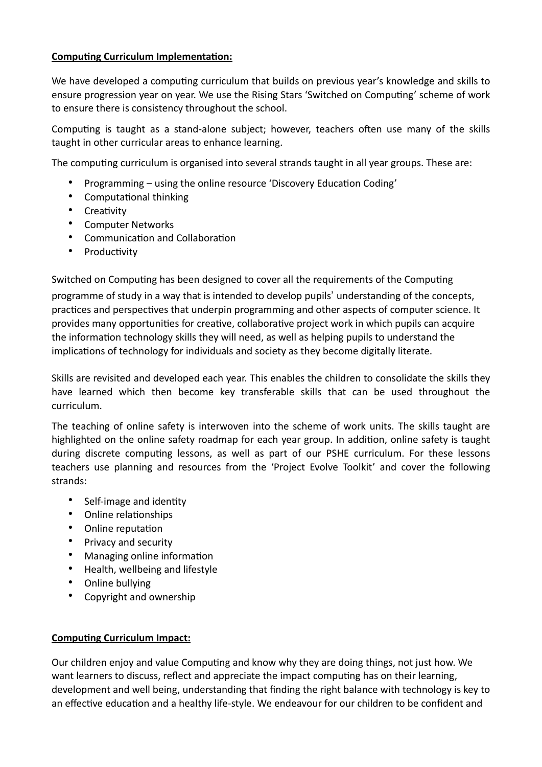### **Computing Curriculum Implementation:**

We have developed a computing curriculum that builds on previous year's knowledge and skills to ensure progression year on year. We use the Rising Stars 'Switched on Computing' scheme of work to ensure there is consistency throughout the school.

Computing is taught as a stand-alone subject; however, teachers often use many of the skills taught in other curricular areas to enhance learning.

The computing curriculum is organised into several strands taught in all year groups. These are:

- Programming using the online resource 'Discovery Education Coding'
- Computational thinking
- Creativity
- Computer Networks
- Communication and Collaboration
- Productivity

Switched on Computing has been designed to cover all the requirements of the Computing

programme of study in a way that is intended to develop pupils' understanding of the concepts, practices and perspectives that underpin programming and other aspects of computer science. It provides many opportunities for creative, collaborative project work in which pupils can acquire the information technology skills they will need, as well as helping pupils to understand the implications of technology for individuals and society as they become digitally literate.

Skills are revisited and developed each year. This enables the children to consolidate the skills they have learned which then become key transferable skills that can be used throughout the curriculum.

The teaching of online safety is interwoven into the scheme of work units. The skills taught are highlighted on the online safety roadmap for each year group. In addition, online safety is taught during discrete computing lessons, as well as part of our PSHE curriculum. For these lessons teachers use planning and resources from the 'Project Evolve Toolkit' and cover the following strands:

- Self-image and identity
- Online relationships
- Online reputation
- Privacy and security
- Managing online information
- Health, wellbeing and lifestyle
- Online bullying
- Copyright and ownership

#### **Computing Curriculum Impact:**

Our children enjoy and value Computing and know why they are doing things, not just how. We want learners to discuss, reflect and appreciate the impact computing has on their learning, development and well being, understanding that finding the right balance with technology is key to an effective education and a healthy life-style. We endeavour for our children to be confident and